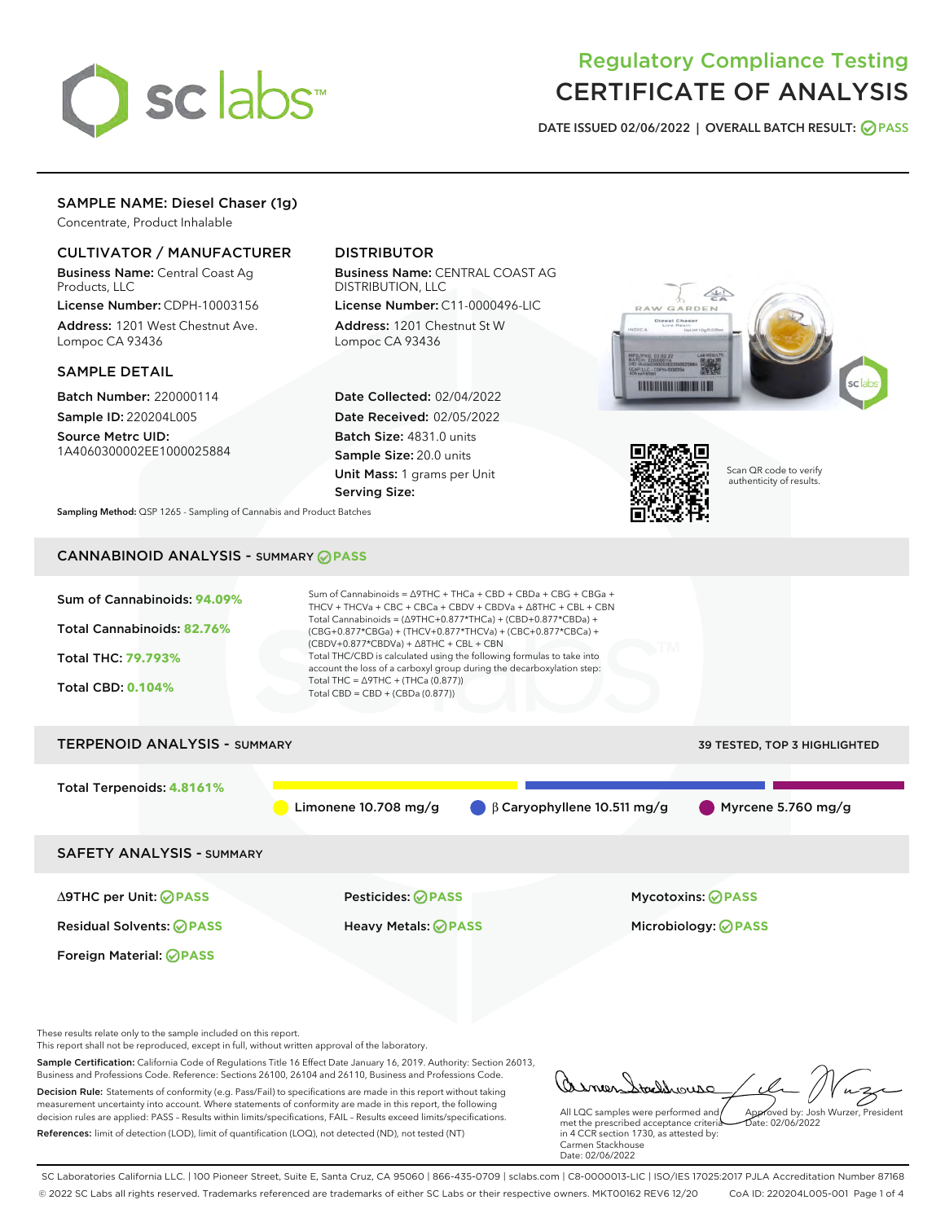

# Regulatory Compliance Testing CERTIFICATE OF ANALYSIS

DATE ISSUED 02/06/2022 | OVERALL BATCH RESULT: @ PASS

## SAMPLE NAME: Diesel Chaser (1g)

Concentrate, Product Inhalable

### CULTIVATOR / MANUFACTURER

Business Name: Central Coast Ag Products, LLC

License Number: CDPH-10003156 Address: 1201 West Chestnut Ave. Lompoc CA 93436

#### SAMPLE DETAIL

Batch Number: 220000114 Sample ID: 220204L005

Source Metrc UID: 1A4060300002EE1000025884

## DISTRIBUTOR

Business Name: CENTRAL COAST AG DISTRIBUTION, LLC License Number: C11-0000496-LIC

Address: 1201 Chestnut St W Lompoc CA 93436

Date Collected: 02/04/2022 Date Received: 02/05/2022 Batch Size: 4831.0 units Sample Size: 20.0 units Unit Mass: 1 grams per Unit Serving Size:





Scan QR code to verify authenticity of results.

Sampling Method: QSP 1265 - Sampling of Cannabis and Product Batches

## CANNABINOID ANALYSIS - SUMMARY **PASS**



These results relate only to the sample included on this report.

This report shall not be reproduced, except in full, without written approval of the laboratory.

Sample Certification: California Code of Regulations Title 16 Effect Date January 16, 2019. Authority: Section 26013, Business and Professions Code. Reference: Sections 26100, 26104 and 26110, Business and Professions Code. Decision Rule: Statements of conformity (e.g. Pass/Fail) to specifications are made in this report without taking measurement uncertainty into account. Where statements of conformity are made in this report, the following

decision rules are applied: PASS – Results within limits/specifications, FAIL – Results exceed limits/specifications. References: limit of detection (LOD), limit of quantification (LOQ), not detected (ND), not tested (NT)

oddrouso Approved by: Josh Wurzer, President

 $ate: 02/06/2022$ 

All LQC samples were performed and met the prescribed acceptance criteria in 4 CCR section 1730, as attested by: Carmen Stackhouse Date: 02/06/2022

SC Laboratories California LLC. | 100 Pioneer Street, Suite E, Santa Cruz, CA 95060 | 866-435-0709 | sclabs.com | C8-0000013-LIC | ISO/IES 17025:2017 PJLA Accreditation Number 87168 © 2022 SC Labs all rights reserved. Trademarks referenced are trademarks of either SC Labs or their respective owners. MKT00162 REV6 12/20 CoA ID: 220204L005-001 Page 1 of 4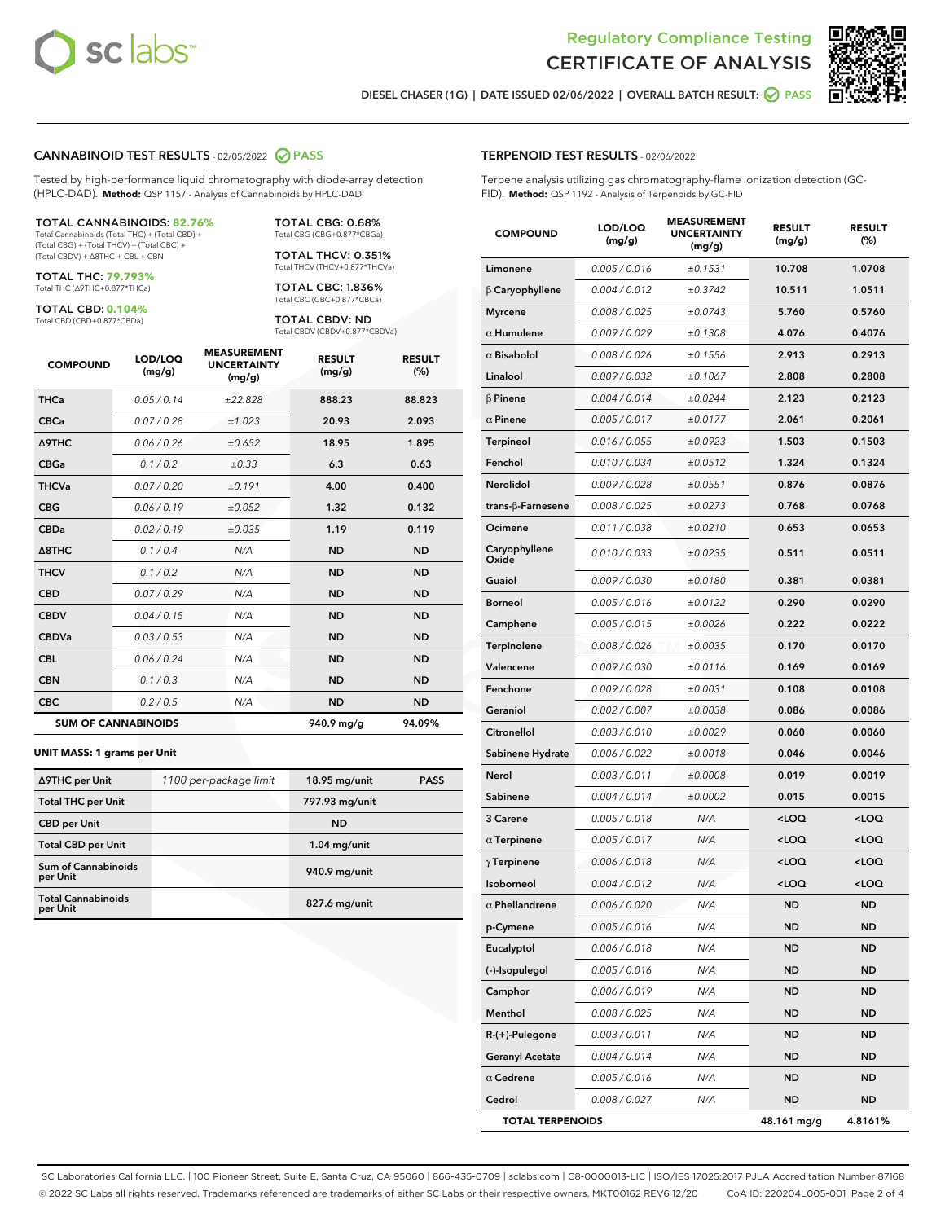



DIESEL CHASER (1G) | DATE ISSUED 02/06/2022 | OVERALL BATCH RESULT: **○** PASS

#### CANNABINOID TEST RESULTS - 02/05/2022 2 PASS

Tested by high-performance liquid chromatography with diode-array detection (HPLC-DAD). **Method:** QSP 1157 - Analysis of Cannabinoids by HPLC-DAD

#### TOTAL CANNABINOIDS: **82.76%**

Total Cannabinoids (Total THC) + (Total CBD) + (Total CBG) + (Total THCV) + (Total CBC) + (Total CBDV) + ∆8THC + CBL + CBN

TOTAL THC: **79.793%** Total THC (∆9THC+0.877\*THCa)

TOTAL CBD: **0.104%**

Total CBD (CBD+0.877\*CBDa)

TOTAL CBG: 0.68% Total CBG (CBG+0.877\*CBGa)

TOTAL THCV: 0.351% Total THCV (THCV+0.877\*THCVa)

TOTAL CBC: 1.836% Total CBC (CBC+0.877\*CBCa)

TOTAL CBDV: ND Total CBDV (CBDV+0.877\*CBDVa)

| <b>COMPOUND</b>  | LOD/LOQ<br>(mg/g)          | <b>MEASUREMENT</b><br><b>UNCERTAINTY</b><br>(mg/g) | <b>RESULT</b><br>(mg/g) | <b>RESULT</b><br>(%) |
|------------------|----------------------------|----------------------------------------------------|-------------------------|----------------------|
| <b>THCa</b>      | 0.05/0.14                  | ±22.828                                            | 888.23                  | 88.823               |
| <b>CBCa</b>      | 0.07 / 0.28                | ±1.023                                             | 20.93                   | 2.093                |
| <b>A9THC</b>     | 0.06 / 0.26                | ±0.652                                             | 18.95                   | 1.895                |
| <b>CBGa</b>      | 0.1/0.2                    | $\pm 0.33$                                         | 6.3                     | 0.63                 |
| <b>THCVa</b>     | 0.07/0.20                  | ±0.191                                             | 4.00                    | 0.400                |
| <b>CBG</b>       | 0.06/0.19                  | ±0.052                                             | 1.32                    | 0.132                |
| <b>CBDa</b>      | 0.02/0.19                  | ±0.035                                             | 1.19                    | 0.119                |
| $\triangle$ 8THC | 0.1/0.4                    | N/A                                                | <b>ND</b>               | <b>ND</b>            |
| <b>THCV</b>      | 0.1 / 0.2                  | N/A                                                | <b>ND</b>               | <b>ND</b>            |
| <b>CBD</b>       | 0.07/0.29                  | N/A                                                | <b>ND</b>               | <b>ND</b>            |
| <b>CBDV</b>      | 0.04 / 0.15                | N/A                                                | <b>ND</b>               | <b>ND</b>            |
| <b>CBDVa</b>     | 0.03/0.53                  | N/A                                                | <b>ND</b>               | <b>ND</b>            |
| <b>CBL</b>       | 0.06 / 0.24                | N/A                                                | <b>ND</b>               | <b>ND</b>            |
| <b>CBN</b>       | 0.1/0.3                    | N/A                                                | <b>ND</b>               | <b>ND</b>            |
| <b>CBC</b>       | 0.2 / 0.5                  | N/A                                                | <b>ND</b>               | <b>ND</b>            |
|                  | <b>SUM OF CANNABINOIDS</b> |                                                    | 940.9 mg/g              | 94.09%               |

#### **UNIT MASS: 1 grams per Unit**

| ∆9THC per Unit                        | 1100 per-package limit | 18.95 mg/unit   | <b>PASS</b> |
|---------------------------------------|------------------------|-----------------|-------------|
| <b>Total THC per Unit</b>             |                        | 797.93 mg/unit  |             |
| <b>CBD</b> per Unit                   |                        | <b>ND</b>       |             |
| <b>Total CBD per Unit</b>             |                        | $1.04$ mg/unit  |             |
| Sum of Cannabinoids<br>per Unit       |                        | 940.9 mg/unit   |             |
| <b>Total Cannabinoids</b><br>per Unit |                        | $827.6$ mg/unit |             |

### TERPENOID TEST RESULTS - 02/06/2022

Terpene analysis utilizing gas chromatography-flame ionization detection (GC-FID). **Method:** QSP 1192 - Analysis of Terpenoids by GC-FID

| <b>COMPOUND</b>         | LOD/LOQ<br>(mg/g)    | <b>MEASUREMENT</b><br><b>UNCERTAINTY</b><br>(mg/g) | <b>RESULT</b><br>(mg/g)                         | <b>RESULT</b><br>(%) |
|-------------------------|----------------------|----------------------------------------------------|-------------------------------------------------|----------------------|
| Limonene                | 0.005 / 0.016        | ±0.1531                                            | 10.708                                          | 1.0708               |
| $\beta$ Caryophyllene   | 0.004 / 0.012        | ±0.3742                                            | 10.511                                          | 1.0511               |
| <b>Myrcene</b>          | 0.008 / 0.025        | ±0.0743                                            | 5.760                                           | 0.5760               |
| $\alpha$ Humulene       | 0.009 / 0.029        | ±0.1308                                            | 4.076                                           | 0.4076               |
| $\alpha$ Bisabolol      | 0.008 / 0.026        | ±0.1556                                            | 2.913                                           | 0.2913               |
| Linalool                | 0.009/0.032          | ±0.1067                                            | 2.808                                           | 0.2808               |
| <b>B</b> Pinene         | 0.004 / 0.014        | ±0.0244                                            | 2.123                                           | 0.2123               |
| $\alpha$ Pinene         | 0.005 / 0.017        | ±0.0177                                            | 2.061                                           | 0.2061               |
| Terpineol               | 0.016 / 0.055        | ±0.0923                                            | 1.503                                           | 0.1503               |
| Fenchol                 | 0.010/0.034          | ±0.0512                                            | 1.324                                           | 0.1324               |
| <b>Nerolidol</b>        | 0.009 / 0.028        | ±0.0551                                            | 0.876                                           | 0.0876               |
| trans-β-Farnesene       | 0.008 / 0.025        | ±0.0273                                            | 0.768                                           | 0.0768               |
| Ocimene                 | 0.011 / 0.038        | ±0.0210                                            | 0.653                                           | 0.0653               |
| Caryophyllene<br>Oxide  | 0.010 / 0.033        | ±0.0235                                            | 0.511                                           | 0.0511               |
| Guaiol                  | 0.009 / 0.030        | ±0.0180                                            | 0.381                                           | 0.0381               |
| <b>Borneol</b>          | 0.005 / 0.016        | ±0.0122                                            | 0.290                                           | 0.0290               |
| Camphene                | 0.005 / 0.015        | ±0.0026                                            | 0.222                                           | 0.0222               |
| Terpinolene             | 0.008 / 0.026        | ±0.0035                                            | 0.170                                           | 0.0170               |
| Valencene               | <i>0.009 / 0.030</i> | ±0.0116                                            | 0.169                                           | 0.0169               |
| Fenchone                | 0.009 / 0.028        | ±0.0031                                            | 0.108                                           | 0.0108               |
| Geraniol                | 0.002 / 0.007        | ±0.0038                                            | 0.086                                           | 0.0086               |
| Citronellol             | 0.003 / 0.010        | ±0.0029                                            | 0.060                                           | 0.0060               |
| Sabinene Hydrate        | 0.006 / 0.022        | ±0.0018                                            | 0.046                                           | 0.0046               |
| Nerol                   | 0.003 / 0.011        | ±0.0008                                            | 0.019                                           | 0.0019               |
| Sabinene                | 0.004 / 0.014        | ±0.0002                                            | 0.015                                           | 0.0015               |
| 3 Carene                | 0.005 / 0.018        | N/A                                                | <loq< th=""><th><loq< th=""></loq<></th></loq<> | <loq< th=""></loq<>  |
| $\alpha$ Terpinene      | 0.005 / 0.017        | N/A                                                | <loq< th=""><th><loq< th=""></loq<></th></loq<> | <loq< th=""></loq<>  |
| $\gamma$ Terpinene      | 0.006 / 0.018        | N/A                                                | <loq< th=""><th><loq< th=""></loq<></th></loq<> | <loq< th=""></loq<>  |
| Isoborneol              | 0.004 / 0.012        | N/A                                                | <loq< th=""><th><loq< th=""></loq<></th></loq<> | <loq< th=""></loq<>  |
| $\alpha$ Phellandrene   | 0.006 / 0.020        | N/A                                                | <b>ND</b>                                       | ND                   |
| p-Cymene                | 0.005 / 0.016        | N/A                                                | ND                                              | ND                   |
| Eucalyptol              | 0.006 / 0.018        | N/A                                                | ND                                              | ND                   |
| (-)-Isopulegol          | 0.005 / 0.016        | N/A                                                | ND                                              | ND                   |
| Camphor                 | 0.006 / 0.019        | N/A                                                | ND                                              | ND                   |
| Menthol                 | 0.008 / 0.025        | N/A                                                | ND                                              | ND                   |
| R-(+)-Pulegone          | 0.003 / 0.011        | N/A                                                | ND                                              | ND                   |
| <b>Geranyl Acetate</b>  | 0.004 / 0.014        | N/A                                                | ND                                              | ND                   |
| $\alpha$ Cedrene        | 0.005 / 0.016        | N/A                                                | ND                                              | ND                   |
| Cedrol                  | 0.008 / 0.027        | N/A                                                | <b>ND</b>                                       | ND                   |
| <b>TOTAL TERPENOIDS</b> |                      |                                                    | 48.161 mg/g                                     | 4.8161%              |

SC Laboratories California LLC. | 100 Pioneer Street, Suite E, Santa Cruz, CA 95060 | 866-435-0709 | sclabs.com | C8-0000013-LIC | ISO/IES 17025:2017 PJLA Accreditation Number 87168 © 2022 SC Labs all rights reserved. Trademarks referenced are trademarks of either SC Labs or their respective owners. MKT00162 REV6 12/20 CoA ID: 220204L005-001 Page 2 of 4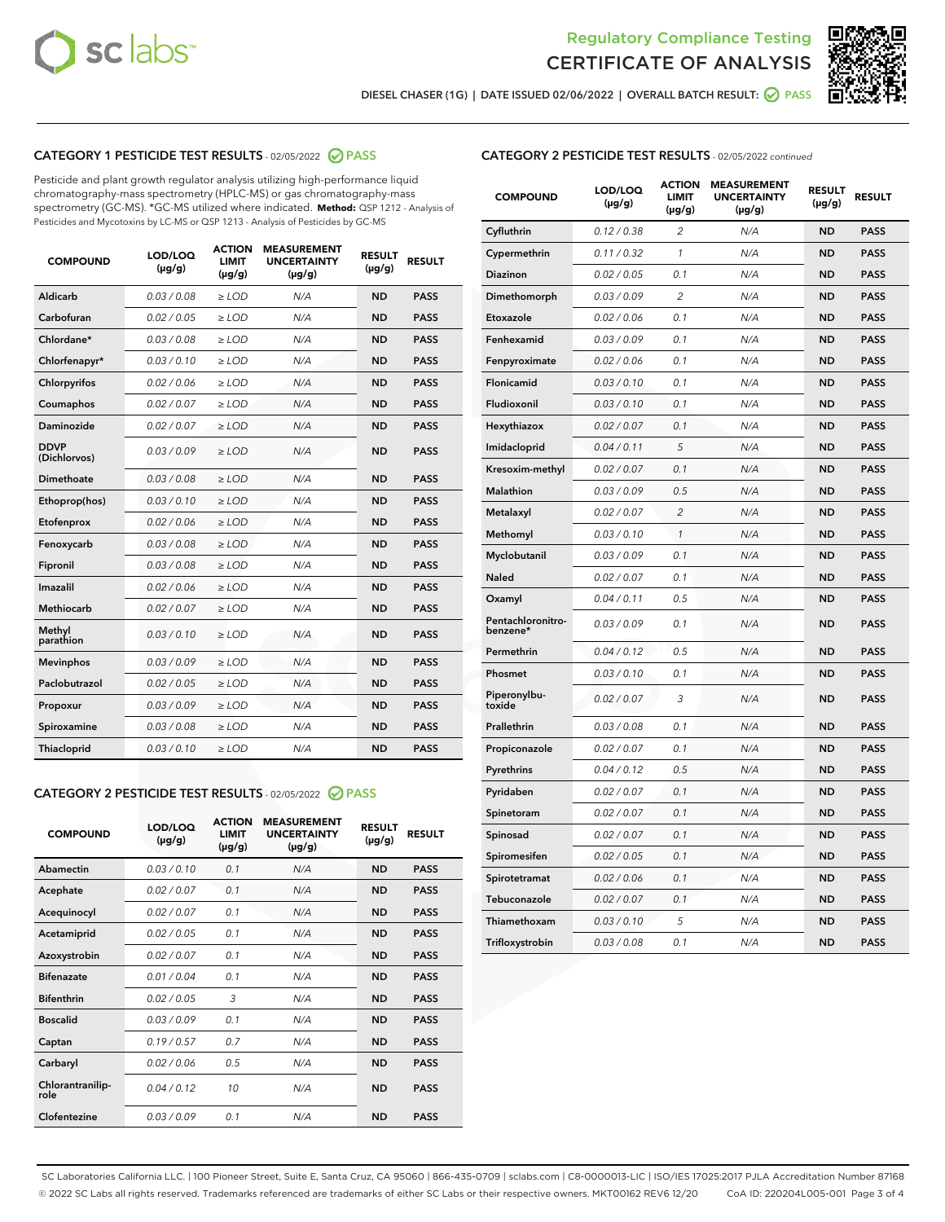



DIESEL CHASER (1G) | DATE ISSUED 02/06/2022 | OVERALL BATCH RESULT: ● PASS

## CATEGORY 1 PESTICIDE TEST RESULTS - 02/05/2022 2 PASS

Pesticide and plant growth regulator analysis utilizing high-performance liquid chromatography-mass spectrometry (HPLC-MS) or gas chromatography-mass spectrometry (GC-MS). \*GC-MS utilized where indicated. **Method:** QSP 1212 - Analysis of Pesticides and Mycotoxins by LC-MS or QSP 1213 - Analysis of Pesticides by GC-MS

| <b>COMPOUND</b>             | LOD/LOQ<br>$(\mu g/g)$ | <b>ACTION</b><br><b>LIMIT</b><br>$(\mu g/g)$ | <b>MEASUREMENT</b><br><b>UNCERTAINTY</b><br>$(\mu g/g)$ | <b>RESULT</b><br>$(\mu g/g)$ | <b>RESULT</b> |
|-----------------------------|------------------------|----------------------------------------------|---------------------------------------------------------|------------------------------|---------------|
| Aldicarb                    | 0.03/0.08              | $>$ LOD                                      | N/A                                                     | <b>ND</b>                    | <b>PASS</b>   |
| Carbofuran                  | 0.02 / 0.05            | $\ge$ LOD                                    | N/A                                                     | <b>ND</b>                    | <b>PASS</b>   |
| Chlordane*                  | 0.03/0.08              | $>$ LOD                                      | N/A                                                     | <b>ND</b>                    | <b>PASS</b>   |
| Chlorfenapyr*               | 0.03/0.10              | $\ge$ LOD                                    | N/A                                                     | <b>ND</b>                    | <b>PASS</b>   |
| Chlorpyrifos                | 0.02 / 0.06            | $\ge$ LOD                                    | N/A                                                     | <b>ND</b>                    | <b>PASS</b>   |
| Coumaphos                   | 0.02 / 0.07            | $\ge$ LOD                                    | N/A                                                     | <b>ND</b>                    | <b>PASS</b>   |
| Daminozide                  | 0.02 / 0.07            | $\ge$ LOD                                    | N/A                                                     | <b>ND</b>                    | <b>PASS</b>   |
| <b>DDVP</b><br>(Dichlorvos) | 0.03/0.09              | $\ge$ LOD                                    | N/A                                                     | <b>ND</b>                    | <b>PASS</b>   |
| <b>Dimethoate</b>           | 0.03/0.08              | $\ge$ LOD                                    | N/A                                                     | <b>ND</b>                    | <b>PASS</b>   |
| Ethoprop(hos)               | 0.03/0.10              | $\ge$ LOD                                    | N/A                                                     | <b>ND</b>                    | <b>PASS</b>   |
| Etofenprox                  | 0.02 / 0.06            | $\ge$ LOD                                    | N/A                                                     | <b>ND</b>                    | <b>PASS</b>   |
| Fenoxycarb                  | 0.03/0.08              | $\ge$ LOD                                    | N/A                                                     | <b>ND</b>                    | <b>PASS</b>   |
| Fipronil                    | 0.03/0.08              | $>$ LOD                                      | N/A                                                     | <b>ND</b>                    | <b>PASS</b>   |
| Imazalil                    | 0.02 / 0.06            | $>$ LOD                                      | N/A                                                     | <b>ND</b>                    | <b>PASS</b>   |
| Methiocarb                  | 0.02 / 0.07            | $\ge$ LOD                                    | N/A                                                     | <b>ND</b>                    | <b>PASS</b>   |
| Methyl<br>parathion         | 0.03/0.10              | $\ge$ LOD                                    | N/A                                                     | <b>ND</b>                    | <b>PASS</b>   |
| <b>Mevinphos</b>            | 0.03/0.09              | $\ge$ LOD                                    | N/A                                                     | <b>ND</b>                    | <b>PASS</b>   |
| Paclobutrazol               | 0.02 / 0.05            | $>$ LOD                                      | N/A                                                     | <b>ND</b>                    | <b>PASS</b>   |
| Propoxur                    | 0.03/0.09              | $\ge$ LOD                                    | N/A                                                     | <b>ND</b>                    | <b>PASS</b>   |
| Spiroxamine                 | 0.03 / 0.08            | $\ge$ LOD                                    | N/A                                                     | <b>ND</b>                    | <b>PASS</b>   |
| Thiacloprid                 | 0.03/0.10              | $\ge$ LOD                                    | N/A                                                     | <b>ND</b>                    | <b>PASS</b>   |

#### CATEGORY 2 PESTICIDE TEST RESULTS - 02/05/2022 PASS

| <b>COMPOUND</b>          | LOD/LOQ<br>$(\mu g/g)$ | <b>ACTION</b><br><b>LIMIT</b><br>$(\mu g/g)$ | <b>MEASUREMENT</b><br><b>UNCERTAINTY</b><br>$(\mu g/g)$ | <b>RESULT</b><br>$(\mu g/g)$ | <b>RESULT</b> |
|--------------------------|------------------------|----------------------------------------------|---------------------------------------------------------|------------------------------|---------------|
| Abamectin                | 0.03/0.10              | 0.1                                          | N/A                                                     | <b>ND</b>                    | <b>PASS</b>   |
| Acephate                 | 0.02/0.07              | 0.1                                          | N/A                                                     | <b>ND</b>                    | <b>PASS</b>   |
| Acequinocyl              | 0.02/0.07              | 0.1                                          | N/A                                                     | <b>ND</b>                    | <b>PASS</b>   |
| Acetamiprid              | 0.02/0.05              | 0.1                                          | N/A                                                     | <b>ND</b>                    | <b>PASS</b>   |
| Azoxystrobin             | 0.02/0.07              | 0.1                                          | N/A                                                     | <b>ND</b>                    | <b>PASS</b>   |
| <b>Bifenazate</b>        | 0.01/0.04              | 0.1                                          | N/A                                                     | <b>ND</b>                    | <b>PASS</b>   |
| <b>Bifenthrin</b>        | 0.02/0.05              | 3                                            | N/A                                                     | <b>ND</b>                    | <b>PASS</b>   |
| <b>Boscalid</b>          | 0.03/0.09              | 0.1                                          | N/A                                                     | <b>ND</b>                    | <b>PASS</b>   |
| Captan                   | 0.19/0.57              | 0.7                                          | N/A                                                     | <b>ND</b>                    | <b>PASS</b>   |
| Carbaryl                 | 0.02/0.06              | 0.5                                          | N/A                                                     | <b>ND</b>                    | <b>PASS</b>   |
| Chlorantranilip-<br>role | 0.04/0.12              | 10                                           | N/A                                                     | <b>ND</b>                    | <b>PASS</b>   |
| Clofentezine             | 0.03/0.09              | 0.1                                          | N/A                                                     | <b>ND</b>                    | <b>PASS</b>   |

#### CATEGORY 2 PESTICIDE TEST RESULTS - 02/05/2022 continued

| <b>COMPOUND</b>               | LOD/LOQ<br>(µg/g) | <b>ACTION</b><br>LIMIT<br>$(\mu g/g)$ | <b>MEASUREMENT</b><br><b>UNCERTAINTY</b><br>(µg/g) | <b>RESULT</b><br>$(\mu g/g)$ | <b>RESULT</b> |
|-------------------------------|-------------------|---------------------------------------|----------------------------------------------------|------------------------------|---------------|
| Cyfluthrin                    | 0.12 / 0.38       | 2                                     | N/A                                                | <b>ND</b>                    | <b>PASS</b>   |
| Cypermethrin                  | 0.11 / 0.32       | 1                                     | N/A                                                | <b>ND</b>                    | <b>PASS</b>   |
| Diazinon                      | 0.02 / 0.05       | 0.1                                   | N/A                                                | <b>ND</b>                    | <b>PASS</b>   |
| Dimethomorph                  | 0.03 / 0.09       | 2                                     | N/A                                                | <b>ND</b>                    | <b>PASS</b>   |
| Etoxazole                     | 0.02 / 0.06       | 0.1                                   | N/A                                                | <b>ND</b>                    | <b>PASS</b>   |
| Fenhexamid                    | 0.03 / 0.09       | 0.1                                   | N/A                                                | <b>ND</b>                    | <b>PASS</b>   |
| Fenpyroximate                 | 0.02 / 0.06       | 0.1                                   | N/A                                                | <b>ND</b>                    | <b>PASS</b>   |
| Flonicamid                    | 0.03 / 0.10       | 0.1                                   | N/A                                                | <b>ND</b>                    | <b>PASS</b>   |
| Fludioxonil                   | 0.03 / 0.10       | 0.1                                   | N/A                                                | <b>ND</b>                    | <b>PASS</b>   |
| Hexythiazox                   | 0.02 / 0.07       | 0.1                                   | N/A                                                | <b>ND</b>                    | <b>PASS</b>   |
| Imidacloprid                  | 0.04 / 0.11       | 5                                     | N/A                                                | <b>ND</b>                    | <b>PASS</b>   |
| Kresoxim-methyl               | 0.02 / 0.07       | 0.1                                   | N/A                                                | <b>ND</b>                    | <b>PASS</b>   |
| Malathion                     | 0.03 / 0.09       | 0.5                                   | N/A                                                | <b>ND</b>                    | <b>PASS</b>   |
| Metalaxyl                     | 0.02 / 0.07       | $\overline{c}$                        | N/A                                                | <b>ND</b>                    | <b>PASS</b>   |
| Methomyl                      | 0.03 / 0.10       | 1                                     | N/A                                                | <b>ND</b>                    | <b>PASS</b>   |
| Myclobutanil                  | 0.03 / 0.09       | 0.1                                   | N/A                                                | <b>ND</b>                    | <b>PASS</b>   |
| Naled                         | 0.02 / 0.07       | 0.1                                   | N/A                                                | <b>ND</b>                    | <b>PASS</b>   |
| Oxamyl                        | 0.04 / 0.11       | 0.5                                   | N/A                                                | <b>ND</b>                    | <b>PASS</b>   |
| Pentachloronitro-<br>benzene* | 0.03 / 0.09       | 0.1                                   | N/A                                                | <b>ND</b>                    | <b>PASS</b>   |
| Permethrin                    | 0.04/0.12         | 0.5                                   | N/A                                                | <b>ND</b>                    | <b>PASS</b>   |
| Phosmet                       | 0.03 / 0.10       | 0.1                                   | N/A                                                | <b>ND</b>                    | <b>PASS</b>   |
| Piperonylbu-<br>toxide        | 0.02 / 0.07       | 3                                     | N/A                                                | <b>ND</b>                    | <b>PASS</b>   |
| Prallethrin                   | 0.03 / 0.08       | 0.1                                   | N/A                                                | <b>ND</b>                    | <b>PASS</b>   |
| Propiconazole                 | 0.02 / 0.07       | 0.1                                   | N/A                                                | <b>ND</b>                    | <b>PASS</b>   |
| Pyrethrins                    | 0.04 / 0.12       | 0.5                                   | N/A                                                | <b>ND</b>                    | <b>PASS</b>   |
| Pyridaben                     | 0.02 / 0.07       | 0.1                                   | N/A                                                | <b>ND</b>                    | <b>PASS</b>   |
| Spinetoram                    | 0.02 / 0.07       | 0.1                                   | N/A                                                | <b>ND</b>                    | <b>PASS</b>   |
| Spinosad                      | 0.02 / 0.07       | 0.1                                   | N/A                                                | <b>ND</b>                    | <b>PASS</b>   |
| Spiromesifen                  | 0.02 / 0.05       | 0.1                                   | N/A                                                | <b>ND</b>                    | <b>PASS</b>   |
| Spirotetramat                 | 0.02 / 0.06       | 0.1                                   | N/A                                                | <b>ND</b>                    | <b>PASS</b>   |
| Tebuconazole                  | 0.02 / 0.07       | 0.1                                   | N/A                                                | <b>ND</b>                    | <b>PASS</b>   |
| Thiamethoxam                  | 0.03 / 0.10       | 5                                     | N/A                                                | <b>ND</b>                    | <b>PASS</b>   |
| Trifloxystrobin               | 0.03 / 0.08       | 0.1                                   | N/A                                                | <b>ND</b>                    | <b>PASS</b>   |

SC Laboratories California LLC. | 100 Pioneer Street, Suite E, Santa Cruz, CA 95060 | 866-435-0709 | sclabs.com | C8-0000013-LIC | ISO/IES 17025:2017 PJLA Accreditation Number 87168 © 2022 SC Labs all rights reserved. Trademarks referenced are trademarks of either SC Labs or their respective owners. MKT00162 REV6 12/20 CoA ID: 220204L005-001 Page 3 of 4